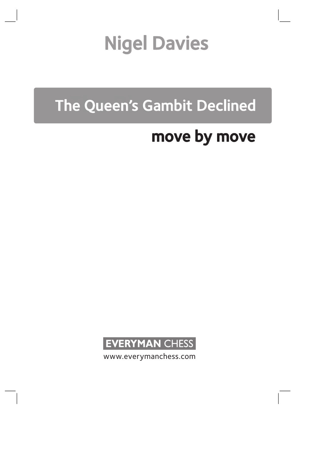# Nigel Davies

# The Queen's Gambit Declined

# move by move



www.everymanchess.com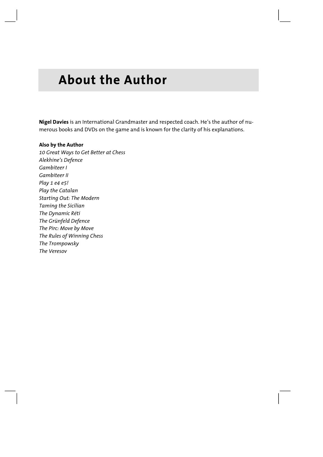# **About the Author**

**Nigel Davies** is an International Grandmaster and respected coach. He's the author of numerous books and DVDs on the game and is known for the clarity of his explanations.

# **Also by the Author**  *10 Great Ways to Get Better at Chess Alekhine's Defence Gambiteer I Gambiteer II Play 1 e4 e5! Play the Catalan Starting Out: The Modern Taming the Sicilian The Dynamic Réti The Grünfeld Defence The Pirc: Move by Move The Rules of Winning Chess The Trompowsky The Veresov*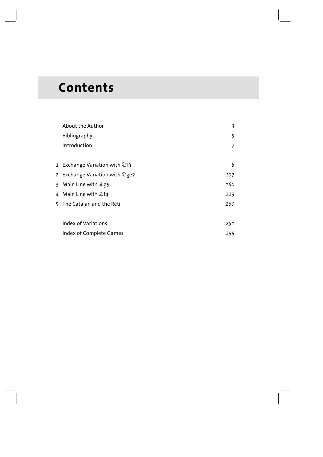# **Contents**

| About the Author               | 3   |
|--------------------------------|-----|
| Bibliography                   | 5   |
| Introduction                   | 7   |
|                                |     |
| 1 Exchange Variation with ⊘f3  | 8   |
| 2 Exchange Variation with ②ge2 | 107 |
| 3 Main Line with 侌g5           | 160 |
| 4 Main Line with 盒f4           | 223 |
| 5 The Catalan and the Réti     | 260 |
|                                |     |
| Index of Variations            | 291 |
| Index of Complete Games        | 299 |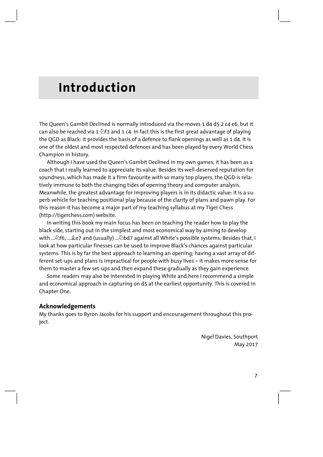# **Introduction**

The Queen's Gambit Declined is normally introduced via the moves 1 d4 d5 2 c4 e6, but it can also be reached via 1  $\triangle$ f3 and 1 c4. In fact this is the first great advantage of playing the QGD as Black: it provides the basis of a defence to flank openings as well as 1 d4. It is one of the oldest and most respected defences and has been played by every World Chess Champion in history.

Although I have used the Queen's Gambit Declined in my own games, it has been as a coach that I really learned to appreciate its value. Besides its well-deserved reputation for soundness, which has made it a firm favourite with so many top players, the QGD is relatively immune to both the changing tides of opening theory and computer analysis. Meanwhile, the greatest advantage for improving players is in its didactic value: it is a superb vehicle for teaching positional play because of the clarity of plans and pawn play. For this reason it has become a major part of my teaching syllabus at my Tiger Chess (http://tigerchess.com) website.

In writing this book my main focus has been on teaching the reader how to play the black side, starting out in the simplest and most economical way by aiming to develop with ... <sup>2</sup>f6, ... 主e7 and (usually) ... 2bd7 against all White's possible systems. Besides that, I look at how particular finesses can be used to improve Black's chances against particular systems. This is by far the best approach to learning an opening; having a vast array of different set-ups and plans is impractical for people with busy lives – it makes more sense for them to master a few set-ups and then expand these gradually as they gain experience.

Some readers may also be interested in playing White and here I recommend a simple and economical approach in capturing on d5 at the earliest opportunity. This is covered in Chapter One.

## **Acknowledgements**

My thanks goes to Byron Jacobs for his support and encouragement throughout this project.

> Nigel Davies, Southport May 2017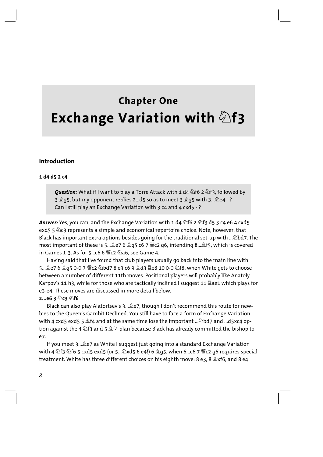# **Chapter One Exchange Variation with 2f3**

# **Introduction**

#### 1 d4 d5 2 c4

**Ouestion:** What if I want to play a Torre Attack with 1 d4  $\triangle$  f6 2  $\triangle$  f3, followed by 3 2 g5, but my opponent replies 2...d5 so as to meet 3 2 g5 with 3... 2e4 -? Can I still play an Exchange Variation with 3 c4 and 4 cxd5 - ?

**Answer:** Yes, you can, and the Exchange Variation with 1 d4  $\triangle$  f6 2  $\triangle$  f3 d5 3 c4 e6 4 cxd5 exd5 5  $\&$ c3 represents a simple and economical repertoire choice. Note, however, that Black has important extra options besides going for the traditional set-up with ... Dd7. The most important of these is 5... e7 6 e7 6 g 5 c6 7  $\degree$ c2 g6, intending 8... ef5, which is covered in Games 1-3. As for 5...c6 6 Wc2 2a6, see Game 4.

Having said that I've found that club players usually go back into the main line with 5...호e7 6 호q5 0-0 7 뺳c2 ಬbd7 8 e3 c6 9 호d3 뿔e8 10 0-0 ಬf8, when White gets to choose between a number of different 11th moves. Positional players will probably like Anatoly Karpov's 11 h3, while for those who are tactically inclined I suggest 11 Hae1 which plays for e3-e4. These moves are discussed in more detail below.

#### $2...e63@c3@f6$

Black can also play Alatortsev's 3... e7, though I don't recommend this route for newbies to the Oueen's Gambit Declined. You still have to face a form of Exchange Variation with 4 cxd5 exd5 5  $$f_4$  and at the same time lose the important ...  $\&$ bd7 and ...d5xc4 option against the 4  $\&$  f3 and 5  $\&$  f4 plan because Black has already committed the bishop to  $e7.$ 

If you meet 3... Le7 as White I suggest just going into a standard Exchange Variation with 4 公f3 公f6 5 cxd5 exd5 (or 5...公xd5 6 e4!) 6 2g5, when 6...c6 7 Fe2 g6 requires special treatment. White has three different choices on his eighth move: 8 e3, 8  $\&x$  f6, and 8 e4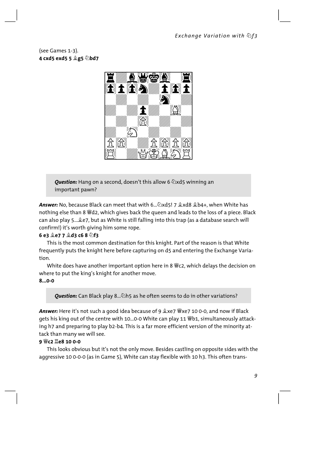(see Games 1-3). 4 cxd5 exd5 5 <sup>2</sup>g5 2bd7



**Ouestion:** Hang on a second, doesn't this allow 6 2xd5 winning an important pawn?

Answer: No. because Black can meet that with 6....  $\Delta x$ d5! 7  $\Delta x$ d8  $\Delta b$ 4+. when White has nothing else than 8 Wd2, which gives back the queen and leads to the loss of a piece. Black can also play 5... Le7, but as White is still falling into this trap (as a database search will confirm!) it's worth giving him some rope.

# 6 e3  $2e77$   $2d3c68$   $6R$

This is the most common destination for this knight. Part of the reason is that White frequently puts the knight here before capturing on d5 and entering the Exchange Variation.

White does have another important option here in 8 Wc2, which delays the decision on where to put the king's knight for another move.

## $8...0-0$

**Ouestion:** Can Black play 8... $\&$ h5 as he often seems to do in other variations?

Answer: Here it's not such a good idea because of 9  $x \leftrightarrow y$  we zero 100-0, and now if Black gets his king out of the centre with 10...0-0 White can play 11 Wb1, simultaneously attacking h7 and preparing to play b2-b4. This is a far more efficient version of the minority attack than many we will see.

## 9 曾c2 Ie8 10 0-0

This looks obvious but it's not the only move. Besides castling on opposite sides with the aggressive 10 0-0-0 (as in Game 5), White can stay flexible with 10 h3. This often trans-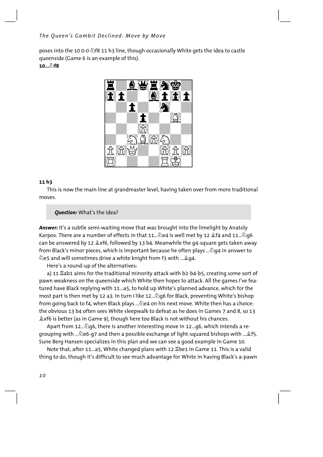# *The Queen's Gambit Declined: Move by Move*

poses into the 10 0-0  $\textcircled{2}$  f8 11 h3 line, though occasionally White gets the idea to castle queenside (Game 6 is an example of this). **10...Ìf8**



#### **11 h3**

This is now the main line at grandmaster level, having taken over from more traditional moves.

## *Question:* What's the idea?

*Answer:* It's a subtle semi-waiting move that was brought into the limelight by Anatoly Karpov. There are a number of effects in that 11... De4 is well met by 12 *\$f4* and 11... Dq6 can be answered by 12  $\&x$ f6, followed by 13 b4. Meanwhile the g4-square gets taken away from Black's minor pieces, which is important because he often plays ... $\hat{\mathcal{Q}}$ q4 in answer to  $\hat{\mathbb{Q}}$ e5 and will sometimes drive a white knight from f3 with ...  $\hat{\mathbb{Z}}$ g4.

Here's a round-up of the alternatives:

a) 11 Îab1 aims for the traditional minority attack with b2-b4-b5, creating some sort of pawn weakness on the queenside which White then hopes to attack. All the games I've featured have Black replying with 11...a5, to hold up White's planned advance, which for the most part is then met by 12 a3. In turn I like 12...  $\Delta q6$  for Black, preventing White's bishop from going back to f4, when Black plays .... Le4 on his next move. White then has a choice: the obvious 13 b4 often sees White sleepwalk to defeat as he does in Games 7 and 8, so 13  $\triangle x$ f6 is better (as in Game 9), though here too Black is not without his chances.

Apart from 12...Ìg6, there is another interesting move in 12...g6, which intends a regrouping with ... De6-g7 and then a possible exchange of light-squared bishops with ... £f5. Sune Berg Hansen specializes in this plan and we can see a good example in Game 10.

Note that, after 11...a5, White changed plans with 12 Ibe1 in Game 11. This is a valid thing to do, though it's difficult to see much advantage for White in having Black's a-pawn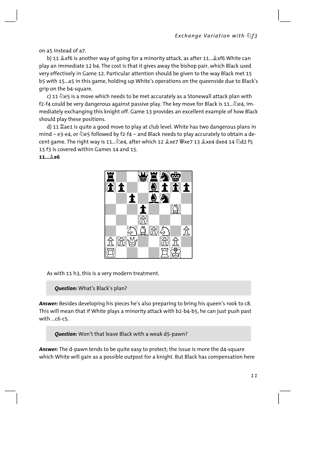on a5 instead of a7.

b) 11  $\&$  xf6 is another way of going for a minority attack, as after 11... $\&$  xf6 White can play an immediate 12 b4. The cost is that it gives away the bishop pair, which Black used very effectively in Game 12. Particular attention should be given to the way Black met 15 b5 with 15. a5 in this game, holding up White's operations on the queenside due to Black's grip on the b4-square.

c) 11  $\Diamond$ e5 is a move which needs to be met accurately as a Stonewall attack plan with f2-f4 could be very dangerous against passive play. The key move for Black is 11... 2e4, immediately exchanging this knight off. Game 13 provides an excellent example of how Black should play these positions.

d) 11 Lae1 is quite a good move to play at club level. White has two dangerous plans in mind – e3-e4, or  $\triangle$ e5 followed by f2-f4 – and Black needs to play accurately to obtain a decent game. The right way is 11... ⁄2e4, after which 12  $2xe7 \n\cong xe7$  13  $2xe4 dxe4$  14 ⁄2d2 f5 15 f3 is covered within Games 14 and 15

#### $11...$  $0.6$



As with 11 h3, this is a very modern treatment.

Question: What's Black's plan?

Answer: Besides developing his pieces he's also preparing to bring his queen's rook to c8. This will mean that if White plays a minority attack with b2-b4-b5, he can just push past with  $\ldots$  c6-c5.

Question: Won't that leave Black with a weak d5-pawn?

Answer: The d-pawn tends to be quite easy to protect; the issue is more the d4-square which White will gain as a possible outpost for a knight. But Black has compensation here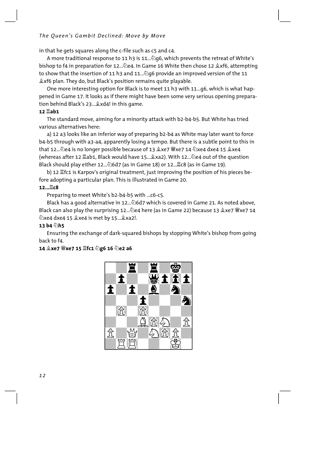# The Oueen's Gambit Declined: Move by Move

in that he gets squares along the c-file such as c5 and c4.

A more traditional response to 11 h3 is 11... $\partial Q_0$ 6, which prevents the retreat of White's bishop to f4 in preparation for 12... De4. In Game 16 White then chose 12 & xf6, attempting to show that the insertion of 11 h3 and 11... 296 provide an improved version of the 11 Lexf6 plan. They do, but Black's position remains quite playable.

One more interesting option for Black is to meet 11 h3 with 11...g6, which is what happened in Game 17. It looks as if there might have been some very serious opening preparation behind Black's 23... &xd4! in this game.

## 12 **罝ab1**

The standard move, aiming for a minority attack with b2-b4-b5. But White has tried various alternatives here:

a) 12 a3 looks like an inferior way of preparing b2-b4 as White may later want to force b4-b5 through with a3-a4, apparently losing a tempo. But there is a subtle point to this in that 12... De4 is no longer possible because of 13 gxe7 Wve7 14 Dxe4 dxe4 15 gxe4 (whereas after 12  $\Xi$ ab1, Black would have 15... 2xa2). With 12... De4 out of the question Black should play either 12... 26d7 (as in Game 18) or 12... Lc8 (as in Game 19).

b) 12  $\mathbb{Z}$ fc1 is Karpov's original treatment, just improving the position of his pieces before adopting a particular plan. This is illustrated in Game 20.

# 12... Lc8

Preparing to meet White's b2-b4-b5 with ...c6-c5.

Black has a good alternative in 12... @6d7 which is covered in Game 21. As noted above, Black can also play the surprising 12... De4 here (as in Game 22) because 13 & xe7 Wexe7 14 Zxe4 dxe4 15 2xe4 is met by 15... 2xa2!.

# 13 b4 2h5

Ensuring the exchange of dark-squared bishops by stopping White's bishop from going back to f4.

# 

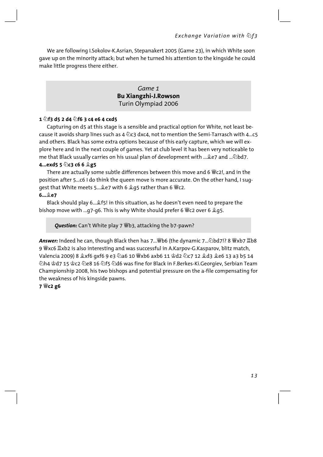We are following I.Sokolov-K.Asrian, Stepanakert 2005 (Game 23), in which White soon gave up on the minority attack; but when he turned his attention to the kingside he could make little progress there either.

# Game 1 **Bu Xiangzhi-J.Rowson** Turin Olympiad 2006

#### 1  $\circ$ f3 d5 2 d4  $\circ$ f6 3 c4 e6 4 cxd5

Capturing on d5 at this stage is a sensible and practical option for White, not least because it avoids sharp lines such as 4  $\&$ c3 dxc4, not to mention the Semi-Tarrasch with 4...c5 and others. Black has some extra options because of this early capture, which we will explore here and in the next couple of games. Yet at club level it has been very noticeable to me that Black usually carries on his usual plan of development with ... Let and ... Dbd7.

#### 4...exd5 5 2c3 c6 6 2g5

There are actually some subtle differences between this move and 6  $\mathcal{L}$ c2!, and in the position after 5...c6 I do think the queen move is more accurate. On the other hand, I suqgest that White meets 5... Le7 with 6 Lg5 rather than 6 We2.

#### $6...$   $2e7$

Black should play 6...  $\frac{1}{2}$  f5! in this situation, as he doesn't even need to prepare the bishop move with ...g7-g6. This is why White should prefer 6  $\mathcal{L}$ c2 over 6  $\mathcal{L}$ g5.

Question: Can't White play 7 \{\bod{D}} b}, attacking the b7-pawn?

Answer: Indeed he can, though Black then has 7... Fb6 (the dynamic 7... 2bd7!? 8 Fxb7 Eb8 9 Wxc6  $\mathbb{Z}$ xb2 is also interesting and was successful in A.Karpov-G.Kasparov, blitz match, ②h4 含d7 15 දිදෙ විe8 16 වුf5 වුd6 was fine for Black in F.Berkes-Ki.Georgiev. Serbian Team Championship 2008, his two bishops and potential pressure on the a-file compensating for the weakness of his kingside pawns.

#### 7 Wc2 g6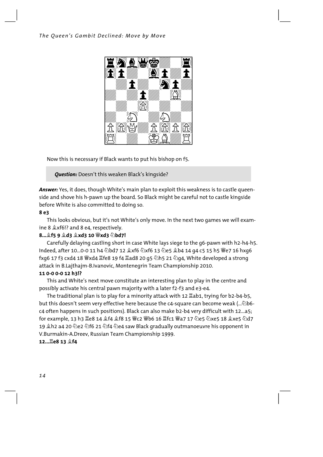

Now this is necessary if Black wants to put his bishop on f5.

*Question:* Doesn't this weaken Black's kingside?

*Answer:* Yes, it does, though White's main plan to exploit this weakness is to castle queenside and shove his h-pawn up the board. So Black might be careful not to castle kingside before White is also committed to doing so.

# **8 e3**

This looks obvious, but it's not White's only move. In the next two games we will examine 8  $x$ f6!? and 8 e4, respectively.

# **8...Íf5 9 Íd3 Íxd3 10 Ëxd3 Ìbd7!**

Carefully delaying castling short in case White lays siege to the g6-pawn with h2-h4-h5. Indeed, after 10...0-0 11 h4  $\ddot{\triangle}$ bd7 12  $\&x$ f6  $\&x$ f6 13  $\Diamond$ e5  $\&$ b4 14 q4 c5 15 h5  $\dddot{\mathbf{w}}$ e7 16 hxq6 fxg6 17 f3 cxd4 18  $\mathcal{L}$ xd4  $\mathcal{L}$ fe8 19 f4  $\mathcal{L}$ ad8 20 g5  $\Diamond$ h5 21  $\Diamond$ g4, White developed a strong attack in B.Lajthajm-B.Ivanovic, Montenegrin Team Championship 2010.

# **11 0-0 0-0 12 h3!?**

This and White's next move constitute an interesting plan to play in the centre and possibly activate his central pawn majority with a later f2-f3 and e3-e4.

The traditional plan is to play for a minority attack with 12  $\mathbb{Z}$ ab1, trying for b2-b4-b5, but this doesn't seem very effective here because the c4-square can become weak (... 2b6c4 often happens in such positions). Black can also make b2-b4 very difficult with 12...a5; for example, 13 h3 Îe8 14 Íf4 Íf8 15 Ëc2 Ëb6 16 Îfc1 Ëa7 17 Ìe5 Ìxe5 18 Íxe5 Ìd7 19 尘h2 a4 20 公e2 公f6 21 公f4 公e4 saw Black gradually outmanoeuvre his opponent in V.Burmakin-A.Dreev, Russian Team Championship 1999.

# **12...Îe8 13 Íf4**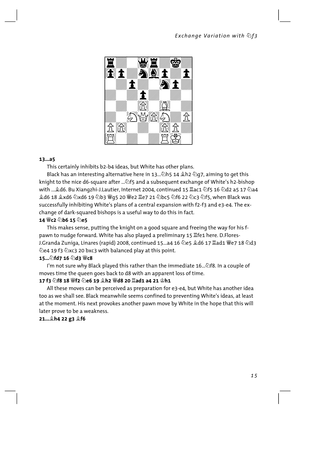

#### $13...a5$

This certainly inhibits b2-b4 ideas, but White has other plans.

Black has an interesting alternative here in 13... 2h5 14  $\triangle$ h2 2g7, aiming to get this knight to the nice d6-square after ... 2f5 and a subsequent exchange of White's h2-bishop ହ d6 18 ହ୍ର xd6 ⁄યેxd6 19 ⁄યેb3 ଞ୍ଜ q5 20 ଞ୍ଜe2 ଞ୍ଞ୧7 21 ⁄યેbc5 ⁄યેf6 22 ⁄યેc3 ⁄યેf5, when Black was successfully inhibiting White's plans of a central expansion with f2-f3 and e3-e4. The exchange of dark-squared bishops is a useful way to do this in fact.

#### 14 曾c2 ②b6 15 ②e5

This makes sense, putting the knight on a good square and freeing the way for his fpawn to nudge forward. White has also played a preliminary 15 Afe1 here. D.Flores-J.Granda Zuniga, Linares (rapid) 2008, continued 15...a4 16 ��e5 ��d6 17 ��ad1 ��e7 18 ��d3 ⊘e4 19 f3 ⊘xc3 20 bxc3 with balanced play at this point.

#### 15... 2fd7 16 2d3 曾c8

I'm not sure why Black played this rather than the immediate 16.... The . n a couple of moves time the queen goes back to d8 with an apparent loss of time.

## 

All these moves can be perceived as preparation for e3-e4, but White has another idea too as we shall see. Black meanwhile seems confined to preventing White's ideas, at least at the moment. His next provokes another pawn move by White in the hope that this will later prove to be a weakness.

#### 21... th4 22 g3 鱼f6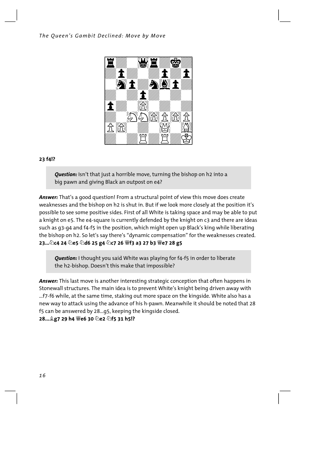

# **23 f4!?**

**Question:** Isn't that just a horrible move, turning the bishop on h2 into a big pawn and giving Black an outpost on e4?

*Answer:* That's a good question! From a structural point of view this move does create weaknesses and the bishop on h2 is shut in. But if we look more closely at the position it's possible to see some positive sides. First of all White is taking space and may be able to put a knight on e5. The e4-square is currently defended by the knight on c3 and there are ideas such as g3-g4 and f4-f5 in the position, which might open up Black's king while liberating the bishop on h2. So let's say there's "dynamic compensation" for the weaknesses created. **23...Ìc4 24 Ìe5 Ìd6 25 g4 Ìc7 26 Ëf3 a3 27 b3 Ëe7 28 g5** 

*Question:* I thought you said White was playing for f4-f5 in order to liberate the h2-bishop. Doesn't this make that impossible?

*Answer:* This last move is another interesting strategic conception that often happens in Stonewall structures. The main idea is to prevent White's knight being driven away with ...f7-f6 while, at the same time, staking out more space on the kingside. White also has a new way to attack using the advance of his h-pawn. Meanwhile it should be noted that 28 f5 can be answered by 28...g5, keeping the kingside closed. **28...Íg7 29 h4 Ëe6 30 Ìe2 Ìf5 31 h5!?**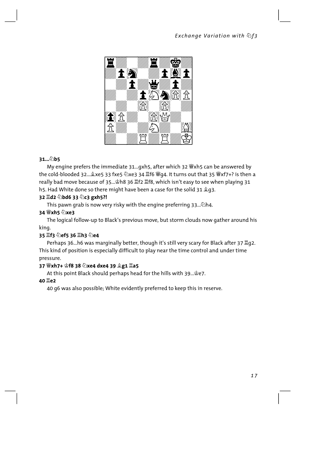

# 31... b5

My engine prefers the immediate 31...gxh5, after which 32 Wxh5 can be answered by the cold-blooded 32... $\hat{\mathbb{Q}}$ xe5 33 fxe5 公xe3 34 耳f6 營q4. It turns out that 35 營xf7+? is then a really bad move because of 35... sh8 36 置f2 置f8, which isn't easy to see when playing 31 h5. Had White done so there might have been a case for the solid 31  $\angle q$ 3.

# 32 Id2 2bd6 33 2c3 gxh5?!

This pawn grab is now very risky with the engine preferring 33... 2h4.

# 34 營xh5 2xe3

The logical follow-up to Black's previous move, but storm clouds now gather around his king.

# 35 If3 2ef5 36 Ih3 2e4

Perhaps 36...h6 was marginally better, though it's still very scary for Black after 37 192. This kind of position is especially difficult to play near the time control and under time pressure.

# 37 豐xh7+ 會f8 38 公xe4 dxe4 39 皇g1 罝a5

At this point Black should perhaps head for the hills with 39... \$e7.

# 40 **Le2**

40 g6 was also possible; White evidently preferred to keep this in reserve.